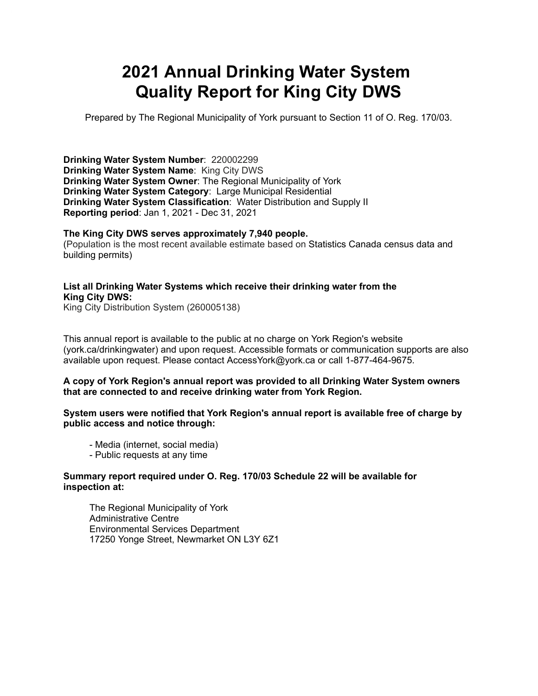# **2021 Annual Drinking Water System Quality Report for King City DWS**

Prepared by The Regional Municipality of York pursuant to Section 11 of O. Reg. 170/03.

**Drinking Water System Number**: 220002299 **Drinking Water System Name**: King City DWS **Drinking Water System Owner**: The Regional Municipality of York **Drinking Water System Category**: Large Municipal Residential **Drinking Water System Classification**: Water Distribution and Supply II **Reporting period**: Jan 1, 2021 - Dec 31, 2021

#### **The King City DWS serves approximately 7,940 people.**

(Population is the most recent available estimate based on Statistics Canada census data and building permits)

#### **List all Drinking Water Systems which receive their drinking water from the King City DWS:**

King City Distribution System (260005138)

This annual report is available to the public at no charge on York Region's website (york.ca/drinkingwater) and upon request. Accessible formats or communication supports are also available upon request. Please contact [AccessYork@york.ca](mailto:AccessYork@york.ca) or call 1-877-464-9675.

#### **A copy of York Region's annual report was provided to all Drinking Water System owners that are connected to and receive drinking water from York Region.**

#### **System users were notified that York Region's annual report is available free of charge by public access and notice through:**

- Media (internet, social media)
- Public requests at any time

#### **Summary report required under O. Reg. 170/03 Schedule 22 will be available for inspection at:**

 The Regional Municipality of York Administrative Centre Environmental Services Department 17250 Yonge Street, Newmarket ON L3Y 6Z1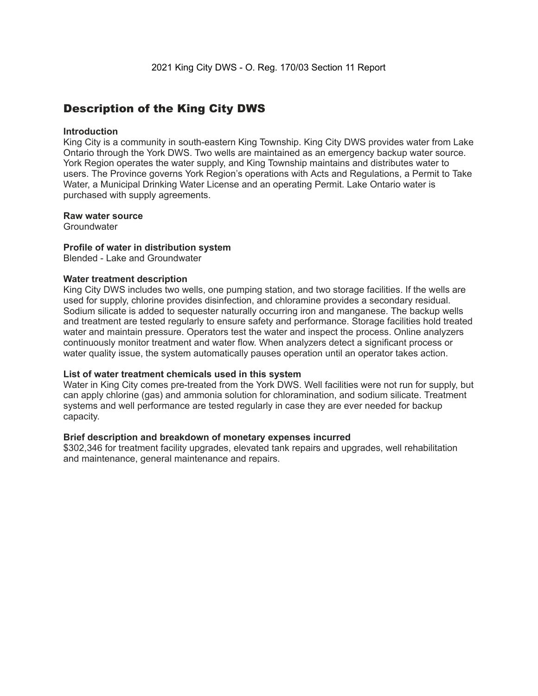### Description of the King City DWS

#### **Introduction**

 King City is a community in south-eastern King Township. King City DWS provides water from Lake Ontario through the York DWS. Two wells are maintained as an emergency backup water source. York Region operates the water supply, and King Township maintains and distributes water to users. The Province governs York Region's operations with Acts and Regulations, a Permit to Take Water, a Municipal Drinking Water License and an operating Permit. Lake Ontario water is purchased with supply agreements.

#### **Raw water source**

**Groundwater** 

#### **Profile of water in distribution system**

Blended - Lake and Groundwater

#### **Water treatment description**

 King City DWS includes two wells, one pumping station, and two storage facilities. If the wells are used for supply, chlorine provides disinfection, and chloramine provides a secondary residual. Sodium silicate is added to sequester naturally occurring iron and manganese. The backup wells and treatment are tested regularly to ensure safety and performance. Storage facilities hold treated water and maintain pressure. Operators test the water and inspect the process. Online analyzers continuously monitor treatment and water flow. When analyzers detect a significant process or water quality issue, the system automatically pauses operation until an operator takes action.

#### **List of water treatment chemicals used in this system**

 Water in King City comes pre-treated from the York DWS. Well facilities were not run for supply, but can apply chlorine (gas) and ammonia solution for chloramination, and sodium silicate. Treatment systems and well performance are tested regularly in case they are ever needed for backup capacity.

#### **Brief description and breakdown of monetary expenses incurred**

 \$302,346 for treatment facility upgrades, elevated tank repairs and upgrades, well rehabilitation and maintenance, general maintenance and repairs.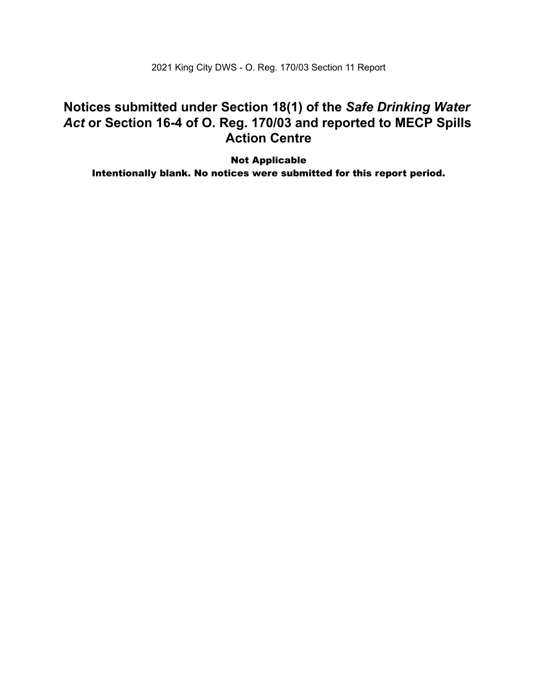2021 King City DWS - O. Reg. 170/03 Section 11 Report

### **Notices submitted under Section 18(1) of the** *Safe Drinking Water Act* **or Section 16-4 of O. Reg. 170/03 and reported to MECP Spills Action Centre**

Not Applicable Intentionally blank. No notices were submitted for this report period.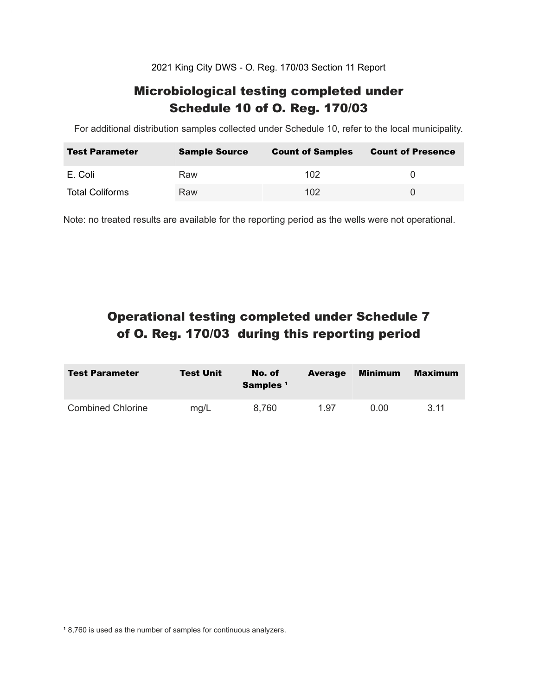2021 King City DWS - O. Reg. 170/03 Section 11 Report

### Microbiological testing completed under Schedule 10 of O. Reg. 170/03

For additional distribution samples collected under Schedule 10, refer to the local municipality.

| <b>Test Parameter</b>  | <b>Sample Source</b> | <b>Count of Samples</b> | <b>Count of Presence</b> |
|------------------------|----------------------|-------------------------|--------------------------|
| E. Coli                | Raw                  | 102                     |                          |
| <b>Total Coliforms</b> | Raw                  | 102 <sub>1</sub>        |                          |

Note: no treated results are available for the reporting period as the wells were not operational.

## Operational testing completed under Schedule 7 of O. Reg. 170/03 during this reporting period

| <b>Test Parameter</b>    | <b>Test Unit</b> | No. of<br>Samples <sup>1</sup> | <b>Average</b> | <b>Minimum</b> | <b>Maximum</b> |
|--------------------------|------------------|--------------------------------|----------------|----------------|----------------|
| <b>Combined Chlorine</b> | mg/L             | 8.760                          | 1.97           | 0.00           | 3.11           |

<sup>1</sup> 8,760 is used as the number of samples for continuous analyzers.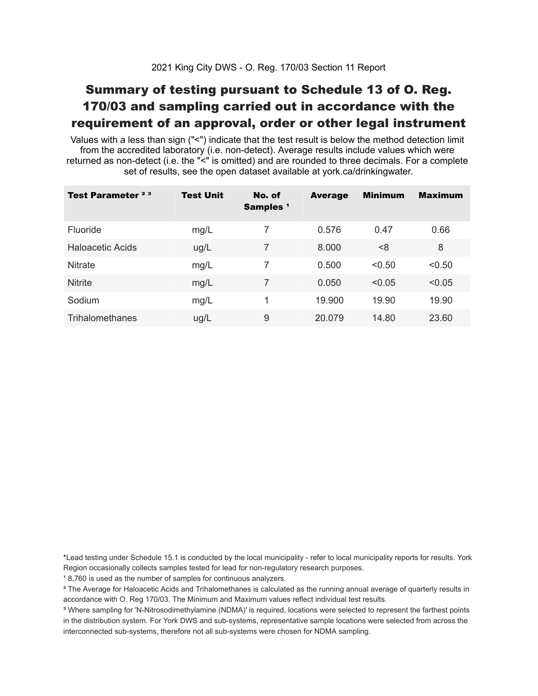## Summary of testing pursuant to Schedule 13 of O. Reg. 170/03 and sampling carried out in accordance with the requirement of an approval, order or other legal instrument

 Values with a less than sign ("<") indicate that the test result is below the method detection limit from the accredited laboratory (i.e. non-detect). Average results include values which were returned as non-detect (i.e. the "<" is omitted) and are rounded to three decimals. For a complete set of results, see the open dataset available at york.ca/drinkingwater.

| Test Parameter <sup>23</sup> | <b>Test Unit</b> | No. of<br>Samples <sup>1</sup> | <b>Average</b> | <b>Minimum</b> | <b>Maximum</b> |
|------------------------------|------------------|--------------------------------|----------------|----------------|----------------|
| Fluoride                     | mg/L             | 7                              | 0.576          | 0.47           | 0.66           |
| Haloacetic Acids             | ug/L             | 7                              | 8.000          | <8             | 8              |
| <b>Nitrate</b>               | mg/L             | 7                              | 0.500          | < 0.50         | < 0.50         |
| <b>Nitrite</b>               | mg/L             | 7                              | 0.050          | < 0.05         | < 0.05         |
| Sodium                       | mg/L             | 1                              | 19,900         | 19.90          | 19.90          |
| Trihalomethanes              | ug/L             | 9                              | 20.079         | 14.80          | 23.60          |

 \*Lead testing under Schedule 15.1 is conducted by the local municipality - refer to local municipality reports for results. York Region occasionally collects samples tested for lead for non-regulatory research purposes.

<sup>1</sup>8,760 is used as the number of samples for continuous analyzers.

 $\mathrm{^2}$  The Average for Haloacetic Acids and Trihalomethanes is calculated as the running annual average of quarterly results in accordance with O. Reg 170/03. The Minimum and Maximum values reflect individual test results.

<sup>3</sup> Where sampling for 'N-Nitrosodimethylamine (NDMA)' is required, locations were selected to represent the farthest points in the distribution system. For York DWS and sub-systems, representative sample locations were selected from across the interconnected sub-systems, therefore not all sub-systems were chosen for NDMA sampling.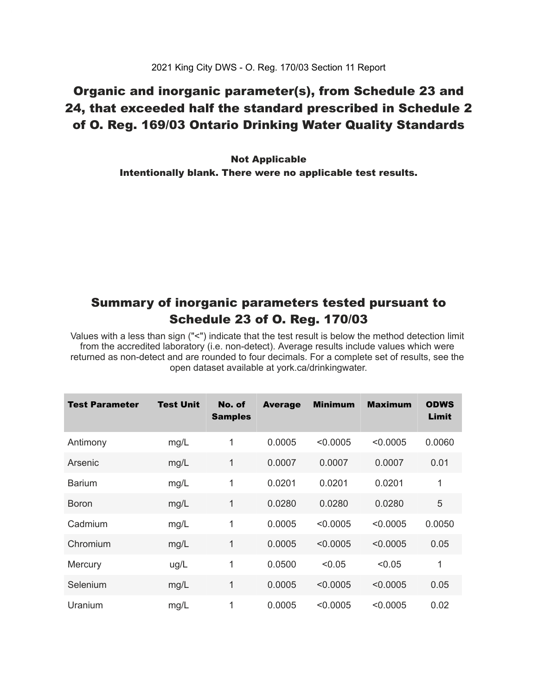### Organic and inorganic parameter(s), from Schedule 23 and 24, that exceeded half the standard prescribed in Schedule 2 of O. Reg. 169/03 Ontario Drinking Water Quality Standards

 Intentionally blank. There were no applicable test results. Not Applicable

### Summary of inorganic parameters tested pursuant to Schedule 23 of O. Reg. 170/03

 Values with a less than sign ("<") indicate that the test result is below the method detection limit from the accredited laboratory (i.e. non-detect). Average results include values which were returned as non-detect and are rounded to four decimals. For a complete set of results, see the open dataset available at york.ca/drinkingwater.

| Test Parameter | <b>Test Unit</b> | No. of<br><b>Samples</b> | <b>Average</b> | <b>Minimum</b> | <b>Maximum</b> | <b>ODWS</b><br>Limit |
|----------------|------------------|--------------------------|----------------|----------------|----------------|----------------------|
| Antimony       | mg/L             | 1                        | 0.0005         | < 0.0005       | < 0.0005       | 0.0060               |
| Arsenic        | mg/L             | 1                        | 0.0007         | 0.0007         | 0.0007         | 0.01                 |
| <b>Barium</b>  | mg/L             | 1                        | 0.0201         | 0.0201         | 0.0201         | 1                    |
| <b>Boron</b>   | mg/L             | 1                        | 0.0280         | 0.0280         | 0.0280         | 5                    |
| Cadmium        | mg/L             | 1                        | 0.0005         | < 0.0005       | < 0.0005       | 0.0050               |
| Chromium       | mg/L             | 1                        | 0.0005         | < 0.0005       | < 0.0005       | 0.05                 |
| Mercury        | ug/L             | 1                        | 0.0500         | < 0.05         | < 0.05         | 1                    |
| Selenium       | mg/L             | 1                        | 0.0005         | < 0.0005       | < 0.0005       | 0.05                 |
| Uranium        | mg/L             | 1                        | 0.0005         | < 0.0005       | < 0.0005       | 0.02                 |